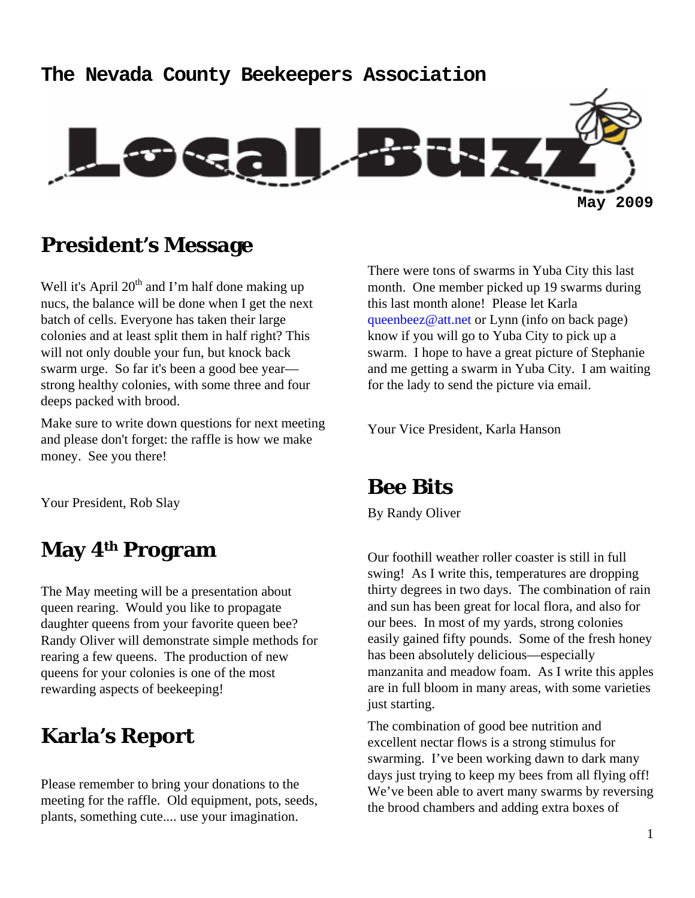# **The Nevada County Beekeepers Association May 2009**

## **President's Message**

Well it's April  $20<sup>th</sup>$  and I'm half done making up nucs, the balance will be done when I get the next batch of cells. Everyone has taken their large colonies and at least split them in half right? This will not only double your fun, but knock back swarm urge. So far it's been a good bee year strong healthy colonies, with some three and four deeps packed with brood.

Make sure to write down questions for next meeting and please don't forget: the raffle is how we make money. See you there!

Your President, Rob Slay

## **May 4th Program**

The May meeting will be a presentation about queen rearing. Would you like to propagate daughter queens from your favorite queen bee? Randy Oliver will demonstrate simple methods for rearing a few queens. The production of new queens for your colonies is one of the most rewarding aspects of beekeeping!

## **Karla's Report**

Please remember to bring your donations to the meeting for the raffle. Old equipment, pots, seeds, plants, something cute.... use your imagination.

There were tons of swarms in Yuba City this last month. One member picked up 19 swarms during this last month alone! Please let Karla queenbeez@att.net or Lynn (info on back page) know if you will go to Yuba City to pick up a swarm. I hope to have a great picture of Stephanie and me getting a swarm in Yuba City. I am waiting for the lady to send the picture via email.

Your Vice President, Karla Hanson

## **Bee Bits**

By Randy Oliver

Our foothill weather roller coaster is still in full swing! As I write this, temperatures are dropping thirty degrees in two days. The combination of rain and sun has been great for local flora, and also for our bees. In most of my yards, strong colonies easily gained fifty pounds. Some of the fresh honey has been absolutely delicious—especially manzanita and meadow foam. As I write this apples are in full bloom in many areas, with some varieties just starting.

The combination of good bee nutrition and excellent nectar flows is a strong stimulus for swarming. I've been working dawn to dark many days just trying to keep my bees from all flying off! We've been able to avert many swarms by reversing the brood chambers and adding extra boxes of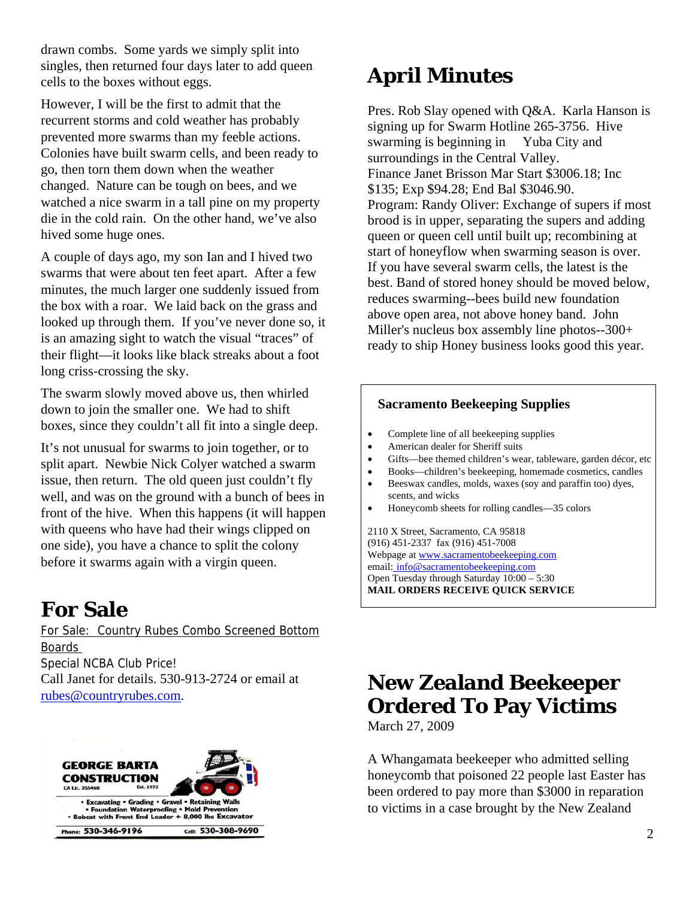drawn combs. Some yards we simply split into singles, then returned four days later to add queen cells to the boxes without eggs.

However, I will be the first to admit that the recurrent storms and cold weather has probably prevented more swarms than my feeble actions. Colonies have built swarm cells, and been ready to go, then torn them down when the weather changed. Nature can be tough on bees, and we watched a nice swarm in a tall pine on my property die in the cold rain. On the other hand, we've also hived some huge ones.

A couple of days ago, my son Ian and I hived two swarms that were about ten feet apart. After a few minutes, the much larger one suddenly issued from the box with a roar. We laid back on the grass and looked up through them. If you've never done so, it is an amazing sight to watch the visual "traces" of their flight—it looks like black streaks about a foot long criss-crossing the sky.

The swarm slowly moved above us, then whirled down to join the smaller one. We had to shift boxes, since they couldn't all fit into a single deep.

It's not unusual for swarms to join together, or to split apart. Newbie Nick Colyer watched a swarm issue, then return. The old queen just couldn't fly well, and was on the ground with a bunch of bees in front of the hive. When this happens (it will happen with queens who have had their wings clipped on one side), you have a chance to split the colony before it swarms again with a virgin queen.

## **For Sale**

For Sale: Country Rubes Combo Screened Bottom Boards Special NCBA Club Price! Call Janet for details. 530-913-2724 or email at rubes@countryrubes.com.



# **April Minutes**

Pres. Rob Slay opened with Q&A. Karla Hanson is signing up for Swarm Hotline 265-3756. Hive swarming is beginning in Yuba City and surroundings in the Central Valley. Finance Janet Brisson Mar Start \$3006.18; Inc \$135; Exp \$94.28; End Bal \$3046.90. Program: Randy Oliver: Exchange of supers if most brood is in upper, separating the supers and adding queen or queen cell until built up; recombining at start of honeyflow when swarming season is over. If you have several swarm cells, the latest is the best. Band of stored honey should be moved below, reduces swarming--bees build new foundation above open area, not above honey band. John Miller's nucleus box assembly line photos--300+ ready to ship Honey business looks good this year.

#### **Sacramento Beekeeping Supplies**

- Complete line of all beekeeping supplies
- American dealer for Sheriff suits
- Gifts—bee themed children's wear, tableware, garden décor, etc
- Books—children's beekeeping, homemade cosmetics, candles • Beeswax candles, molds, waxes (soy and paraffin too) dyes,
- scents, and wicks
- Honeycomb sheets for rolling candles—35 colors

2110 X Street, Sacramento, CA 95818 (916) 451-2337 fax (916) 451-7008 Webpage at www.sacramentobeekeeping.com email: info@sacramentobeekeeping.com Open Tuesday through Saturday 10:00 – 5:30 **MAIL ORDERS RECEIVE QUICK SERVICE**

## **New Zealand Beekeeper Ordered To Pay Victims**

March 27, 2009

A Whangamata beekeeper who admitted selling honeycomb that poisoned 22 people last Easter has been ordered to pay more than \$3000 in reparation to victims in a case brought by the New Zealand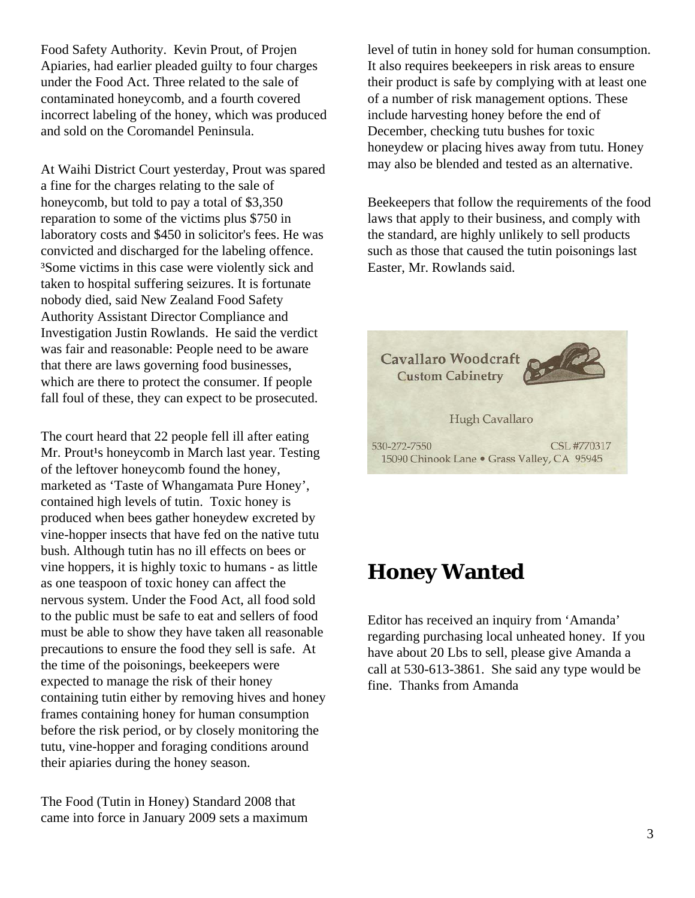Food Safety Authority. Kevin Prout, of Projen Apiaries, had earlier pleaded guilty to four charges under the Food Act. Three related to the sale of contaminated honeycomb, and a fourth covered incorrect labeling of the honey, which was produced and sold on the Coromandel Peninsula.

At Waihi District Court yesterday, Prout was spared a fine for the charges relating to the sale of honeycomb, but told to pay a total of \$3,350 reparation to some of the victims plus \$750 in laboratory costs and \$450 in solicitor's fees. He was convicted and discharged for the labeling offence. ³Some victims in this case were violently sick and taken to hospital suffering seizures. It is fortunate nobody died, said New Zealand Food Safety Authority Assistant Director Compliance and Investigation Justin Rowlands. He said the verdict was fair and reasonable: People need to be aware that there are laws governing food businesses, which are there to protect the consumer. If people fall foul of these, they can expect to be prosecuted.

The court heard that 22 people fell ill after eating Mr. Prout<sup>1</sup>s honeycomb in March last year. Testing of the leftover honeycomb found the honey, marketed as 'Taste of Whangamata Pure Honey', contained high levels of tutin. Toxic honey is produced when bees gather honeydew excreted by vine-hopper insects that have fed on the native tutu bush. Although tutin has no ill effects on bees or vine hoppers, it is highly toxic to humans - as little as one teaspoon of toxic honey can affect the nervous system. Under the Food Act, all food sold to the public must be safe to eat and sellers of food must be able to show they have taken all reasonable precautions to ensure the food they sell is safe. At the time of the poisonings, beekeepers were expected to manage the risk of their honey containing tutin either by removing hives and honey frames containing honey for human consumption before the risk period, or by closely monitoring the tutu, vine-hopper and foraging conditions around their apiaries during the honey season.

The Food (Tutin in Honey) Standard 2008 that came into force in January 2009 sets a maximum level of tutin in honey sold for human consumption. It also requires beekeepers in risk areas to ensure their product is safe by complying with at least one of a number of risk management options. These include harvesting honey before the end of December, checking tutu bushes for toxic honeydew or placing hives away from tutu. Honey may also be blended and tested as an alternative.

Beekeepers that follow the requirements of the food laws that apply to their business, and comply with the standard, are highly unlikely to sell products such as those that caused the tutin poisonings last Easter, Mr. Rowlands said.



#### **Honey Wanted**

Editor has received an inquiry from 'Amanda' regarding purchasing local unheated honey. If you have about 20 Lbs to sell, please give Amanda a call at 530-613-3861. She said any type would be fine. Thanks from Amanda